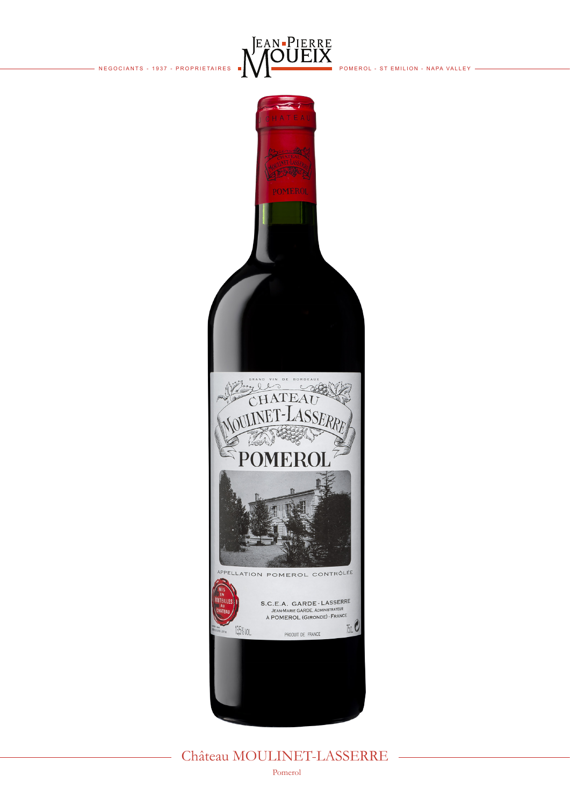$-$  NEGOCIANTS - 1937 - PROPRIETAIRES  $\blacksquare$   $\blacktriangleright$   $\blacksquare$   $\blacksquare$   $\blacksquare$   $\blacksquare$   $\blacksquare$   $\blacksquare$   $\blacksquare$   $\blacksquare$   $\blacksquare$   $\blacksquare$   $\blacksquare$   $\blacksquare$   $\blacksquare$   $\blacksquare$   $\blacksquare$   $\blacksquare$   $\blacksquare$   $\blacksquare$   $\blacksquare$   $\blacksquare$   $\blacksquare$   $\blacksquare$   $\blacksquare$   $\blacksquare$ 





## Château MOULINET-LASSERRE

Pomerol